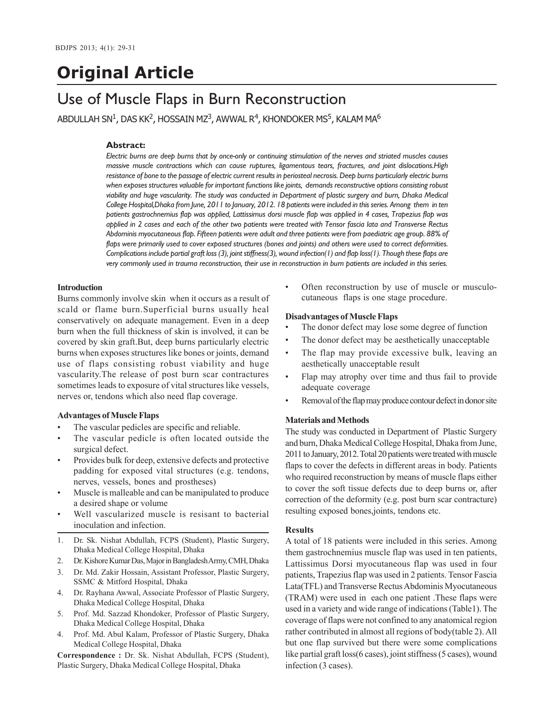# **Original Article**

# Use of Muscle Flaps in Burn Reconstruction

ABDULLAH SN $^1$ , DAS KK $^2$ , HOSSAIN MZ $^3$ , AWWAL R $^4$ , KHONDOKER MS $^5$ , KALAM MA $^6$ 

## **Abstract:**

*Electric burns are deep burns that by once-only or continuing stimulation of the nerves and striated muscles causes massive muscle contractions which can cause ruptures, ligamentous tears, fractures, and joint dislocations.High resistance of bone to the passage of electric current results in periosteal necrosis. Deep burns particularly electric burns when exposes structures valuable for important functions like joints, demands reconstructive options consisting robust viability and huge vascularity. The study was conducted in Department of plastic surgery and burn, Dhaka Medical College Hospital,Dhaka from June, 2011 to January, 2012. 18 patients were included in this series. Among them in ten patients gastrochnemius flap was applied, Lattissimus dorsi muscle flap was applied in 4 cases, Trapezius flap was applied in 2 cases and each of the other two patients were treated with Tensor fascia lata and Transverse Rectus Abdominis myocutaneous flap. Fifteen patients were adult and three patients were from paediatric age group. 88% of flaps were primarily used to cover exposed structures (bones and joints) and others were used to correct deformities. Complications include partial graft loss (3), joint stiffness(3), wound infection(1) and flap loss(1). Though these flaps are very commonly used in trauma reconstruction, their use in reconstruction in burn patients are included in this series.*

#### **Introduction**

Burns commonly involve skin when it occurs as a result of scald or flame burn.Superficial burns usually heal conservatively on adequate management. Even in a deep burn when the full thickness of skin is involved, it can be covered by skin graft.But, deep burns particularly electric burns when exposes structures like bones or joints, demand use of flaps consisting robust viability and huge vascularity.The release of post burn scar contractures sometimes leads to exposure of vital structures like vessels, nerves or, tendons which also need flap coverage.

#### **Advantages of Muscle Flaps**

- The vascular pedicles are specific and reliable.
- The vascular pedicle is often located outside the surgical defect.
- Provides bulk for deep, extensive defects and protective padding for exposed vital structures (e.g. tendons, nerves, vessels, bones and prostheses)
- Muscle is malleable and can be manipulated to produce a desired shape or volume
- Well vascularized muscle is resisant to bacterial inoculation and infection.
- 1. Dr. Sk. Nishat Abdullah, FCPS (Student), Plastic Surgery, Dhaka Medical College Hospital, Dhaka
- 2. Dr. Kishore Kumar Das, Major in Bangladesh Army, CMH, Dhaka
- 3. Dr. Md. Zakir Hossain, Assistant Professor, Plastic Surgery, SSMC & Mitford Hospital, Dhaka
- 4. Dr. Rayhana Awwal, Associate Professor of Plastic Surgery, Dhaka Medical College Hospital, Dhaka
- 5. Prof. Md. Sazzad Khondoker, Professor of Plastic Surgery, Dhaka Medical College Hospital, Dhaka
- 4. Prof. Md. Abul Kalam, Professor of Plastic Surgery, Dhaka Medical College Hospital, Dhaka

**Correspondence :** Dr. Sk. Nishat Abdullah, FCPS (Student), Plastic Surgery, Dhaka Medical College Hospital, Dhaka

• Often reconstruction by use of muscle or musculocutaneous flaps is one stage procedure.

#### **Disadvantages of Muscle Flaps**

- The donor defect may lose some degree of function
- The donor defect may be aesthetically unacceptable
- The flap may provide excessive bulk, leaving an aesthetically unacceptable result
- Flap may atrophy over time and thus fail to provide adequate coverage
- Removal of the flap may produce contour defect in donor site

#### **Materials and Methods**

The study was conducted in Department of Plastic Surgery and burn, Dhaka Medical College Hospital, Dhaka from June, 2011 to January, 2012. Total 20 patients were treated with muscle flaps to cover the defects in different areas in body. Patients who required reconstruction by means of muscle flaps either to cover the soft tissue defects due to deep burns or, after correction of the deformity (e.g. post burn scar contracture) resulting exposed bones,joints, tendons etc.

#### **Results**

A total of 18 patients were included in this series. Among them gastrochnemius muscle flap was used in ten patients, Lattissimus Dorsi myocutaneous flap was used in four patients, Trapezius flap was used in 2 patients. Tensor Fascia Lata(TFL) and Transverse Rectus Abdominis Myocutaneous (TRAM) were used in each one patient .These flaps were used in a variety and wide range of indications (Table1). The coverage of flaps were not confined to any anatomical region rather contributed in almost all regions of body(table 2). All but one flap survived but there were some complications like partial graft loss(6 cases), joint stiffness (5 cases), wound infection (3 cases).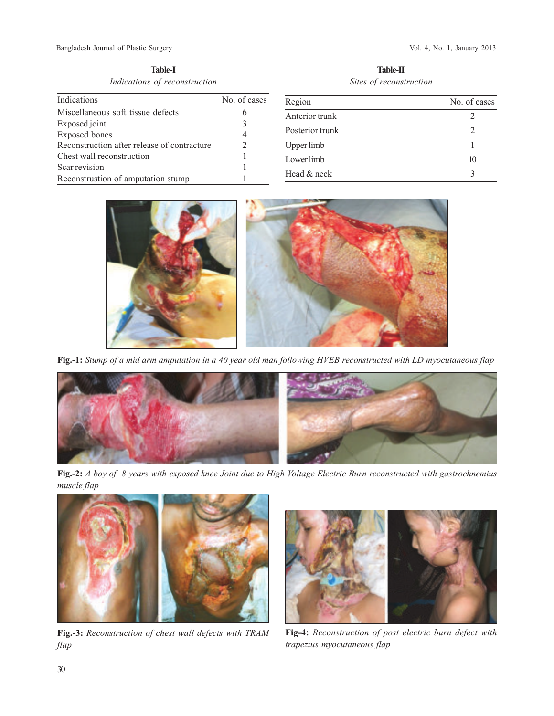**Table-I** *Indications of reconstruction*

| Indications                                 | No. of cases |
|---------------------------------------------|--------------|
| Miscellaneous soft tissue defects           |              |
| Exposed joint                               | 3            |
| <b>Exposed</b> bones                        | 4            |
| Reconstruction after release of contracture |              |
| Chest wall reconstruction                   |              |
| Scar revision                               |              |
| Reconstrustion of amputation stump          |              |

**Table-II** *Sites of reconstruction*

| Region          | No. of cases |
|-----------------|--------------|
| Anterior trunk  | 2            |
| Posterior trunk | 2            |
| Upper limb      | 1            |
| Lower limb      | 10           |
| Head & neck     | 3            |



**Fig.-1:** *Stump of a mid arm amputation in a 40 year old man following HVEB reconstructed with LD myocutaneous flap*



**Fig.-2:** *A boy of 8 years with exposed knee Joint due to High Voltage Electric Burn reconstructed with gastrochnemius muscle flap*



**Fig.-3:** *Reconstruction of chest wall defects with TRAM flap*



**Fig-4:** *Reconstruction of post electric burn defect with trapezius myocutaneous flap*